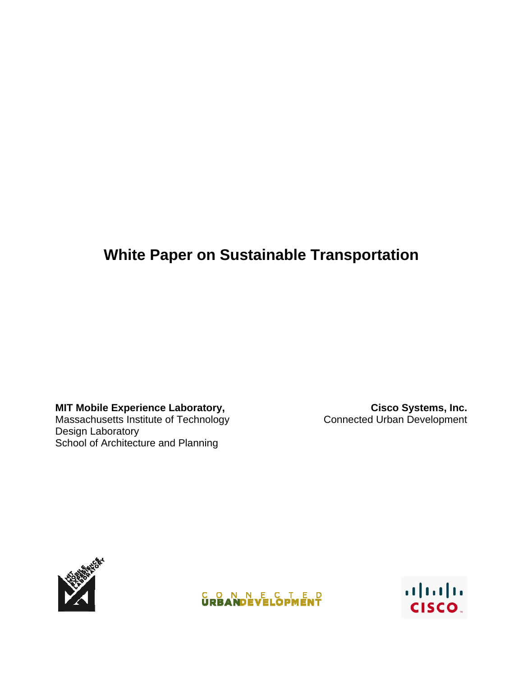# **White Paper on Sustainable Transportation**

**MIT Mobile Experience Laboratory,**  Massachusetts Institute of Technology Design Laboratory School of Architecture and Planning

**Cisco Systems, Inc.** Connected Urban Development





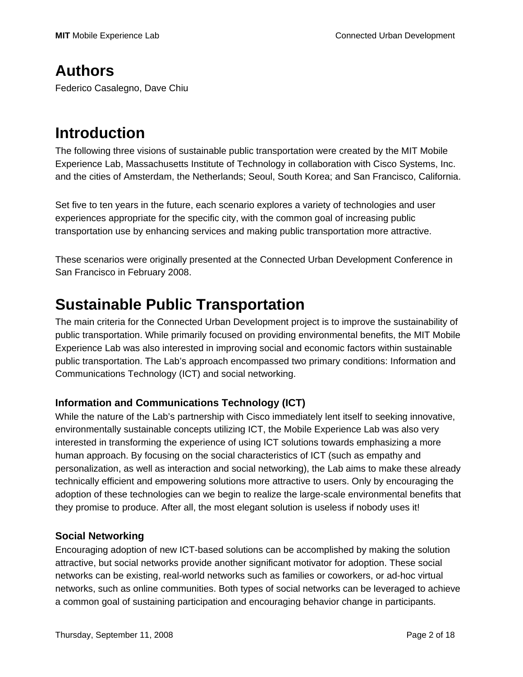## **Authors**

Federico Casalegno, Dave Chiu

## **Introduction**

The following three visions of sustainable public transportation were created by the MIT Mobile Experience Lab, Massachusetts Institute of Technology in collaboration with Cisco Systems, Inc. and the cities of Amsterdam, the Netherlands; Seoul, South Korea; and San Francisco, California.

Set five to ten years in the future, each scenario explores a variety of technologies and user experiences appropriate for the specific city, with the common goal of increasing public transportation use by enhancing services and making public transportation more attractive.

These scenarios were originally presented at the Connected Urban Development Conference in San Francisco in February 2008.

## **Sustainable Public Transportation**

The main criteria for the Connected Urban Development project is to improve the sustainability of public transportation. While primarily focused on providing environmental benefits, the MIT Mobile Experience Lab was also interested in improving social and economic factors within sustainable public transportation. The Lab's approach encompassed two primary conditions: Information and Communications Technology (ICT) and social networking.

### **Information and Communications Technology (ICT)**

While the nature of the Lab's partnership with Cisco immediately lent itself to seeking innovative, environmentally sustainable concepts utilizing ICT, the Mobile Experience Lab was also very interested in transforming the experience of using ICT solutions towards emphasizing a more human approach. By focusing on the social characteristics of ICT (such as empathy and personalization, as well as interaction and social networking), the Lab aims to make these already technically efficient and empowering solutions more attractive to users. Only by encouraging the adoption of these technologies can we begin to realize the large-scale environmental benefits that they promise to produce. After all, the most elegant solution is useless if nobody uses it!

### **Social Networking**

Encouraging adoption of new ICT-based solutions can be accomplished by making the solution attractive, but social networks provide another significant motivator for adoption. These social networks can be existing, real-world networks such as families or coworkers, or ad-hoc virtual networks, such as online communities. Both types of social networks can be leveraged to achieve a common goal of sustaining participation and encouraging behavior change in participants.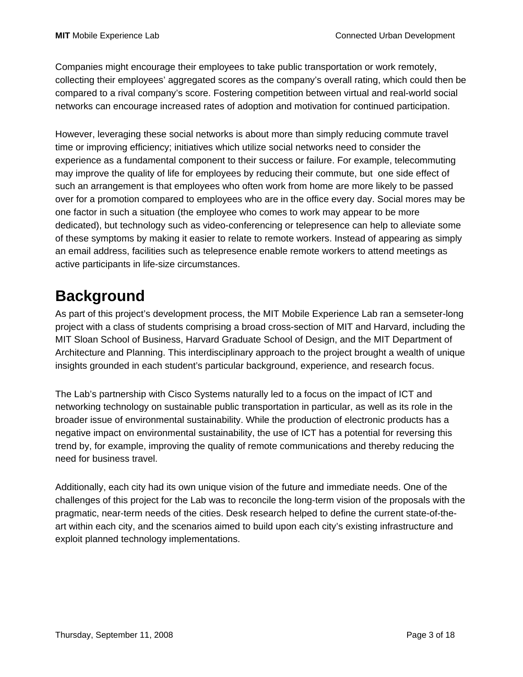Companies might encourage their employees to take public transportation or work remotely, collecting their employees' aggregated scores as the company's overall rating, which could then be compared to a rival company's score. Fostering competition between virtual and real-world social networks can encourage increased rates of adoption and motivation for continued participation.

However, leveraging these social networks is about more than simply reducing commute travel time or improving efficiency; initiatives which utilize social networks need to consider the experience as a fundamental component to their success or failure. For example, telecommuting may improve the quality of life for employees by reducing their commute, but one side effect of such an arrangement is that employees who often work from home are more likely to be passed over for a promotion compared to employees who are in the office every day. Social mores may be one factor in such a situation (the employee who comes to work may appear to be more dedicated), but technology such as video-conferencing or telepresence can help to alleviate some of these symptoms by making it easier to relate to remote workers. Instead of appearing as simply an email address, facilities such as telepresence enable remote workers to attend meetings as active participants in life-size circumstances.

# **Background**

As part of this project's development process, the MIT Mobile Experience Lab ran a semseter-long project with a class of students comprising a broad cross-section of MIT and Harvard, including the MIT Sloan School of Business, Harvard Graduate School of Design, and the MIT Department of Architecture and Planning. This interdisciplinary approach to the project brought a wealth of unique insights grounded in each student's particular background, experience, and research focus.

The Lab's partnership with Cisco Systems naturally led to a focus on the impact of ICT and networking technology on sustainable public transportation in particular, as well as its role in the broader issue of environmental sustainability. While the production of electronic products has a negative impact on environmental sustainability, the use of ICT has a potential for reversing this trend by, for example, improving the quality of remote communications and thereby reducing the need for business travel.

Additionally, each city had its own unique vision of the future and immediate needs. One of the challenges of this project for the Lab was to reconcile the long-term vision of the proposals with the pragmatic, near-term needs of the cities. Desk research helped to define the current state-of-theart within each city, and the scenarios aimed to build upon each city's existing infrastructure and exploit planned technology implementations.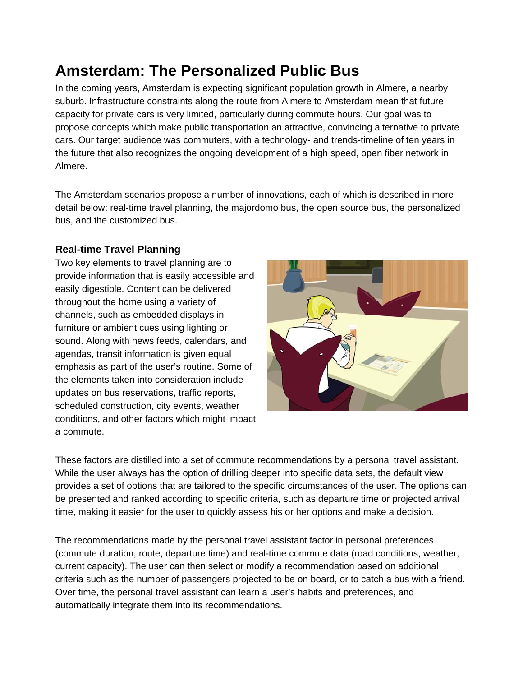# **Amsterdam: The Personalized Public Bus**

In the coming years, Amsterdam is expecting significant population growth in Almere, a nearby suburb. Infrastructure constraints along the route from Almere to Amsterdam mean that future capacity for private cars is very limited, particularly during commute hours. Our goal was to propose concepts which make public transportation an attractive, convincing alternative to private cars. Our target audience was commuters, with a technology- and trends-timeline of ten years in the future that also recognizes the ongoing development of a high speed, open fiber network in Almere.

The Amsterdam scenarios propose a number of innovations, each of which is described in more detail below: real-time travel planning, the majordomo bus, the open source bus, the personalized bus, and the customized bus.

### **Real-time Travel Planning**

Two key elements to travel planning are to provide information that is easily accessible and easily digestible. Content can be delivered throughout the home using a variety of channels, such as embedded displays in furniture or ambient cues using lighting or sound. Along with news feeds, calendars, and agendas, transit information is given equal emphasis as part of the user's routine. Some of the elements taken into consideration include updates on bus reservations, traffic reports, scheduled construction, city events, weather conditions, and other factors which might impact a commute.



These factors are distilled into a set of commute recommendations by a personal travel assistant. While the user always has the option of drilling deeper into specific data sets, the default view provides a set of options that are tailored to the specific circumstances of the user. The options can be presented and ranked according to specific criteria, such as departure time or projected arrival time, making it easier for the user to quickly assess his or her options and make a decision.

The recommendations made by the personal travel assistant factor in personal preferences (commute duration, route, departure time) and real-time commute data (road conditions, weather, current capacity). The user can then select or modify a recommendation based on additional criteria such as the number of passengers projected to be on board, or to catch a bus with a friend. Over time, the personal travel assistant can learn a user's habits and preferences, and automatically integrate them into its recommendations.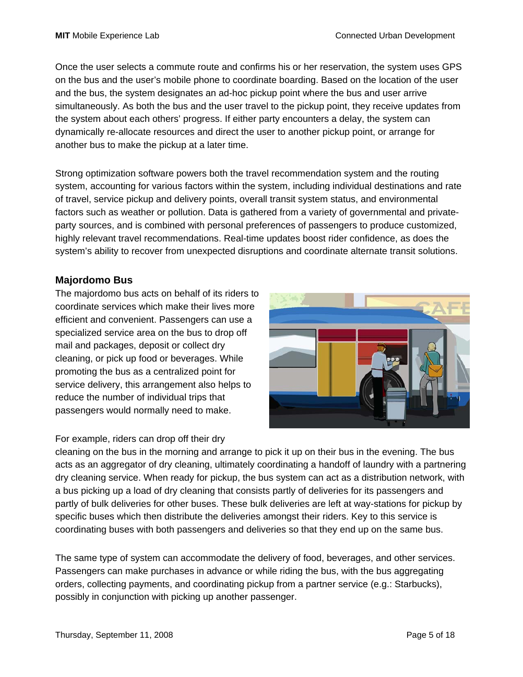Once the user selects a commute route and confirms his or her reservation, the system uses GPS on the bus and the user's mobile phone to coordinate boarding. Based on the location of the user and the bus, the system designates an ad-hoc pickup point where the bus and user arrive simultaneously. As both the bus and the user travel to the pickup point, they receive updates from the system about each others' progress. If either party encounters a delay, the system can dynamically re-allocate resources and direct the user to another pickup point, or arrange for another bus to make the pickup at a later time.

Strong optimization software powers both the travel recommendation system and the routing system, accounting for various factors within the system, including individual destinations and rate of travel, service pickup and delivery points, overall transit system status, and environmental factors such as weather or pollution. Data is gathered from a variety of governmental and privateparty sources, and is combined with personal preferences of passengers to produce customized, highly relevant travel recommendations. Real-time updates boost rider confidence, as does the system's ability to recover from unexpected disruptions and coordinate alternate transit solutions.

### **Majordomo Bus**

The majordomo bus acts on behalf of its riders to coordinate services which make their lives more efficient and convenient. Passengers can use a specialized service area on the bus to drop off mail and packages, deposit or collect dry cleaning, or pick up food or beverages. While promoting the bus as a centralized point for service delivery, this arrangement also helps to reduce the number of individual trips that passengers would normally need to make.



#### For example, riders can drop off their dry

cleaning on the bus in the morning and arrange to pick it up on their bus in the evening. The bus acts as an aggregator of dry cleaning, ultimately coordinating a handoff of laundry with a partnering dry cleaning service. When ready for pickup, the bus system can act as a distribution network, with a bus picking up a load of dry cleaning that consists partly of deliveries for its passengers and partly of bulk deliveries for other buses. These bulk deliveries are left at way-stations for pickup by specific buses which then distribute the deliveries amongst their riders. Key to this service is coordinating buses with both passengers and deliveries so that they end up on the same bus.

The same type of system can accommodate the delivery of food, beverages, and other services. Passengers can make purchases in advance or while riding the bus, with the bus aggregating orders, collecting payments, and coordinating pickup from a partner service (e.g.: Starbucks), possibly in conjunction with picking up another passenger.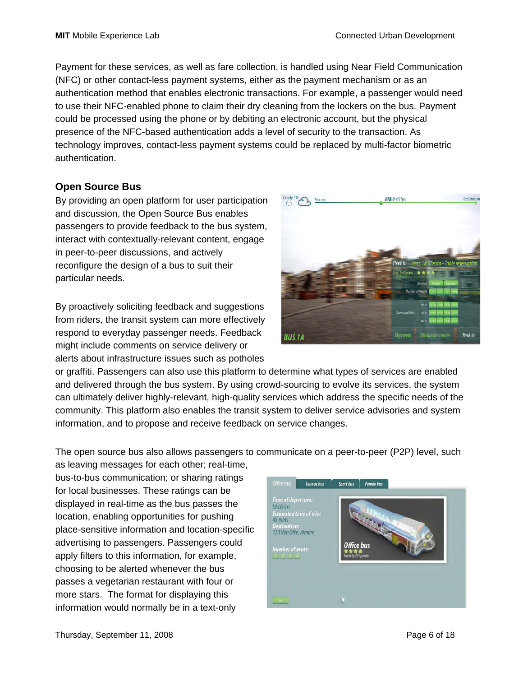Payment for these services, as well as fare collection, is handled using Near Field Communication (NFC) or other contact-less payment systems, either as the payment mechanism or as an authentication method that enables electronic transactions. For example, a passenger would need to use their NFC-enabled phone to claim their dry cleaning from the lockers on the bus. Payment could be processed using the phone or by debiting an electronic account, but the physical presence of the NFC-based authentication adds a level of security to the transaction. As technology improves, contact-less payment systems could be replaced by multi-factor biometric authentication.

### **Open Source Bus**

By providing an open platform for user participation and discussion, the Open Source Bus enables passengers to provide feedback to the bus system, interact with contextually-relevant content, engage in peer-to-peer discussions, and actively reconfigure the design of a bus to suit their particular needs.

By proactively soliciting feedback and suggestions from riders, the transit system can more effectively respond to everyday passenger needs. Feedback might include comments on service delivery or alerts about infrastructure issues such as potholes



or graffiti. Passengers can also use this platform to determine what types of services are enabled and delivered through the bus system. By using crowd-sourcing to evolve its services, the system can ultimately deliver highly-relevant, high-quality services which address the specific needs of the community. This platform also enables the transit system to deliver service advisories and system information, and to propose and receive feedback on service changes.

The open source bus also allows passengers to communicate on a peer-to-peer (P2P) level, such

as leaving messages for each other; real-time, bus-to-bus communication; or sharing ratings for local businesses. These ratings can be displayed in real-time as the bus passes the location, enabling opportunities for pushing place-sensitive information and location-specific advertising to passengers. Passengers could apply filters to this information, for example, choosing to be alerted whenever the bus passes a vegetarian restaurant with four or more stars. The format for displaying this information would normally be in a text-only

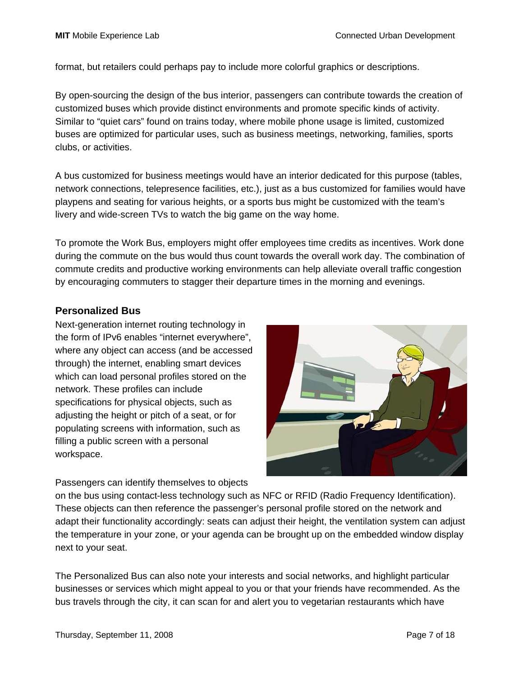format, but retailers could perhaps pay to include more colorful graphics or descriptions.

By open-sourcing the design of the bus interior, passengers can contribute towards the creation of customized buses which provide distinct environments and promote specific kinds of activity. Similar to "quiet cars" found on trains today, where mobile phone usage is limited, customized buses are optimized for particular uses, such as business meetings, networking, families, sports clubs, or activities.

A bus customized for business meetings would have an interior dedicated for this purpose (tables, network connections, telepresence facilities, etc.), just as a bus customized for families would have playpens and seating for various heights, or a sports bus might be customized with the team's livery and wide-screen TVs to watch the big game on the way home.

To promote the Work Bus, employers might offer employees time credits as incentives. Work done during the commute on the bus would thus count towards the overall work day. The combination of commute credits and productive working environments can help alleviate overall traffic congestion by encouraging commuters to stagger their departure times in the morning and evenings.

#### **Personalized Bus**

Next-generation internet routing technology in the form of IPv6 enables "internet everywhere", where any object can access (and be accessed through) the internet, enabling smart devices which can load personal profiles stored on the network. These profiles can include specifications for physical objects, such as adjusting the height or pitch of a seat, or for populating screens with information, such as filling a public screen with a personal workspace.



Passengers can identify themselves to objects

on the bus using contact-less technology such as NFC or RFID (Radio Frequency Identification). These objects can then reference the passenger's personal profile stored on the network and adapt their functionality accordingly: seats can adjust their height, the ventilation system can adjust the temperature in your zone, or your agenda can be brought up on the embedded window display next to your seat.

The Personalized Bus can also note your interests and social networks, and highlight particular businesses or services which might appeal to you or that your friends have recommended. As the bus travels through the city, it can scan for and alert you to vegetarian restaurants which have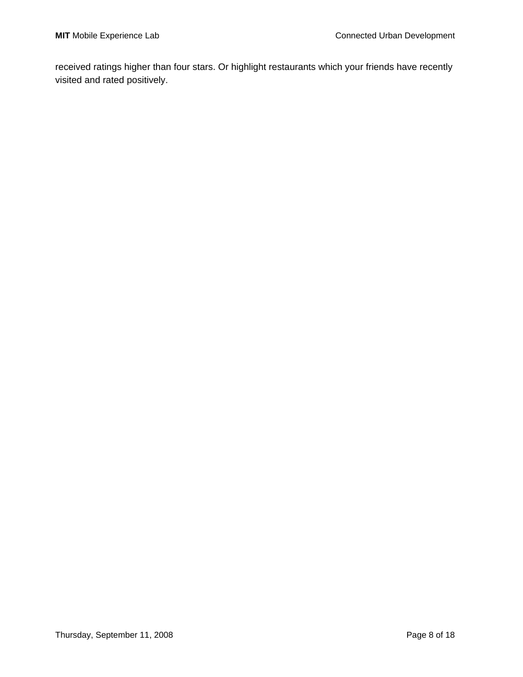received ratings higher than four stars. Or highlight restaurants which your friends have recently visited and rated positively.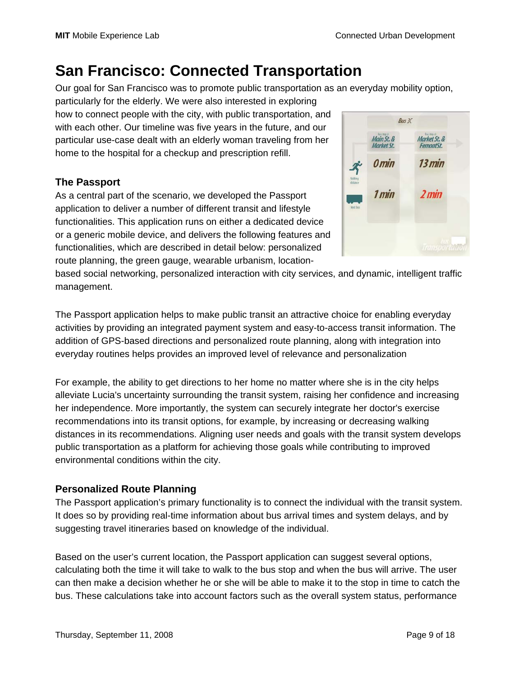# **San Francisco: Connected Transportation**

Our goal for San Francisco was to promote public transportation as an everyday mobility option,

particularly for the elderly. We were also interested in exploring how to connect people with the city, with public transportation, and with each other. Our timeline was five years in the future, and our particular use-case dealt with an elderly woman traveling from her home to the hospital for a checkup and prescription refill.

### **The Passport**

As a central part of the scenario, we developed the Passport application to deliver a number of different transit and lifestyle functionalities. This application runs on either a dedicated device or a generic mobile device, and delivers the following features and functionalities, which are described in detail below: personalized route planning, the green gauge, wearable urbanism, location-



based social networking, personalized interaction with city services, and dynamic, intelligent traffic management.

The Passport application helps to make public transit an attractive choice for enabling everyday activities by providing an integrated payment system and easy-to-access transit information. The addition of GPS-based directions and personalized route planning, along with integration into everyday routines helps provides an improved level of relevance and personalization

For example, the ability to get directions to her home no matter where she is in the city helps alleviate Lucia's uncertainty surrounding the transit system, raising her confidence and increasing her independence. More importantly, the system can securely integrate her doctor's exercise recommendations into its transit options, for example, by increasing or decreasing walking distances in its recommendations. Aligning user needs and goals with the transit system develops public transportation as a platform for achieving those goals while contributing to improved environmental conditions within the city.

### **Personalized Route Planning**

The Passport application's primary functionality is to connect the individual with the transit system. It does so by providing real-time information about bus arrival times and system delays, and by suggesting travel itineraries based on knowledge of the individual.

Based on the user's current location, the Passport application can suggest several options, calculating both the time it will take to walk to the bus stop and when the bus will arrive. The user can then make a decision whether he or she will be able to make it to the stop in time to catch the bus. These calculations take into account factors such as the overall system status, performance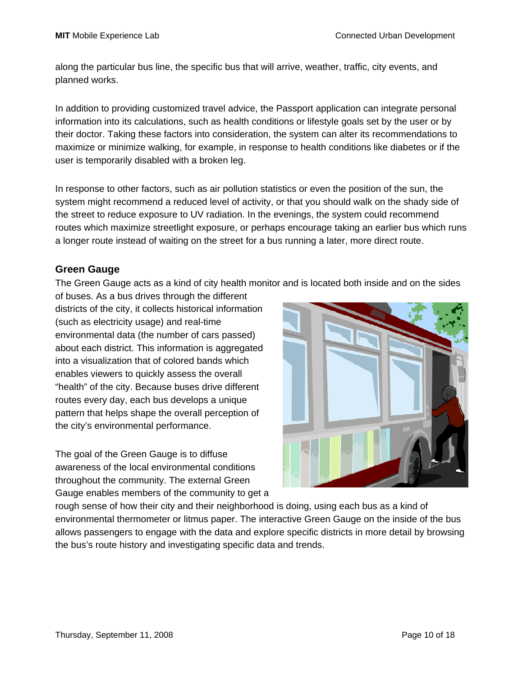along the particular bus line, the specific bus that will arrive, weather, traffic, city events, and planned works.

In addition to providing customized travel advice, the Passport application can integrate personal information into its calculations, such as health conditions or lifestyle goals set by the user or by their doctor. Taking these factors into consideration, the system can alter its recommendations to maximize or minimize walking, for example, in response to health conditions like diabetes or if the user is temporarily disabled with a broken leg.

In response to other factors, such as air pollution statistics or even the position of the sun, the system might recommend a reduced level of activity, or that you should walk on the shady side of the street to reduce exposure to UV radiation. In the evenings, the system could recommend routes which maximize streetlight exposure, or perhaps encourage taking an earlier bus which runs a longer route instead of waiting on the street for a bus running a later, more direct route.

#### **Green Gauge**

The Green Gauge acts as a kind of city health monitor and is located both inside and on the sides

of buses. As a bus drives through the different districts of the city, it collects historical information (such as electricity usage) and real-time environmental data (the number of cars passed) about each district. This information is aggregated into a visualization that of colored bands which enables viewers to quickly assess the overall "health" of the city. Because buses drive different routes every day, each bus develops a unique pattern that helps shape the overall perception of the city's environmental performance.

The goal of the Green Gauge is to diffuse awareness of the local environmental conditions throughout the community. The external Green Gauge enables members of the community to get a



rough sense of how their city and their neighborhood is doing, using each bus as a kind of environmental thermometer or litmus paper. The interactive Green Gauge on the inside of the bus allows passengers to engage with the data and explore specific districts in more detail by browsing the bus's route history and investigating specific data and trends.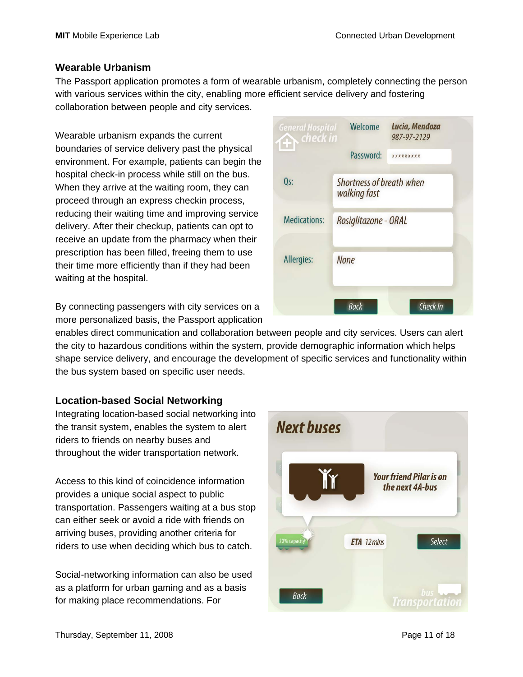Lucia, Mendoza

987-97-2129

Welcome

walking fast

**None** 

Password: \*\*\*\*\*\*\*\*\*

Shortness of breath when

Rosiglitazone - ORAL

#### **Wearable Urbanism**

The Passport application promotes a form of wearable urbanism, completely connecting the person with various services within the city, enabling more efficient service delivery and fostering collaboration between people and city services.

**General Hospital** 

 $Qs$ :

**Medications:** 

Allergies:

check in

Wearable urbanism expands the current boundaries of service delivery past the physical environment. For example, patients can begin the hospital check-in process while still on the bus. When they arrive at the waiting room, they can proceed through an express checkin process, reducing their waiting time and improving service delivery. After their checkup, patients can opt to receive an update from the pharmacy when their prescription has been filled, freeing them to use their time more efficiently than if they had been waiting at the hospital.

By connecting passengers with city services on a more personalized basis, the Passport application

enables direct communication and collaboration between people and city services. Users can alert the city to hazardous conditions within the system, provide demographic information which helps shape service delivery, and encourage the development of specific services and functionality within the bus system based on specific user needs.

#### **Location-based Social Networking**

Integrating location-based social networking into the transit system, enables the system to alert riders to friends on nearby buses and throughout the wider transportation network.

Access to this kind of coincidence information provides a unique social aspect to public transportation. Passengers waiting at a bus stop can either seek or avoid a ride with friends on arriving buses, providing another criteria for riders to use when deciding which bus to catch.

Social-networking information can also be used as a platform for urban gaming and as a basis for making place recommendations. For



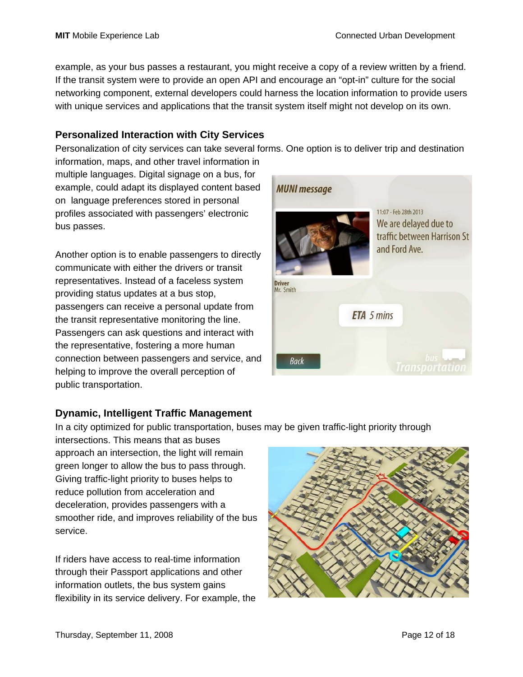example, as your bus passes a restaurant, you might receive a copy of a review written by a friend. If the transit system were to provide an open API and encourage an "opt-in" culture for the social networking component, external developers could harness the location information to provide users with unique services and applications that the transit system itself might not develop on its own.

#### **Personalized Interaction with City Services**

Personalization of city services can take several forms. One option is to deliver trip and destination

information, maps, and other travel information in multiple languages. Digital signage on a bus, for example, could adapt its displayed content based on language preferences stored in personal profiles associated with passengers' electronic bus passes.

Another option is to enable passengers to directly communicate with either the drivers or transit representatives. Instead of a faceless system providing status updates at a bus stop, passengers can receive a personal update from the transit representative monitoring the line. Passengers can ask questions and interact with the representative, fostering a more human connection between passengers and service, and helping to improve the overall perception of public transportation.



### **Dynamic, Intelligent Traffic Management**

In a city optimized for public transportation, buses may be given traffic-light priority through

intersections. This means that as buses approach an intersection, the light will remain green longer to allow the bus to pass through. Giving traffic-light priority to buses helps to reduce pollution from acceleration and deceleration, provides passengers with a smoother ride, and improves reliability of the bus service.

If riders have access to real-time information through their Passport applications and other information outlets, the bus system gains flexibility in its service delivery. For example, the

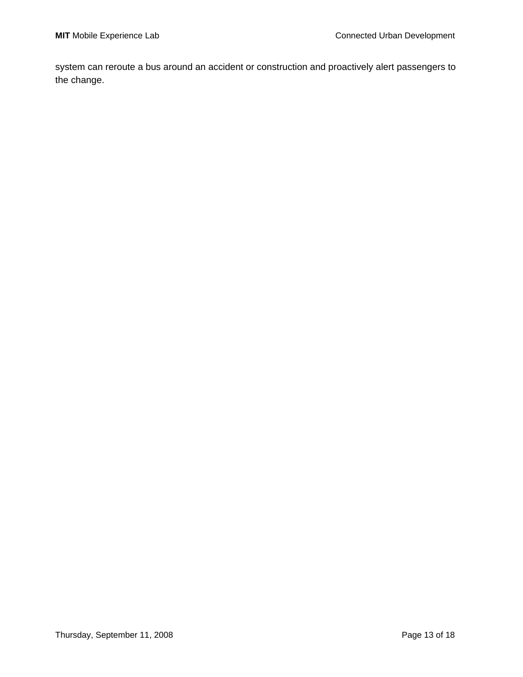system can reroute a bus around an accident or construction and proactively alert passengers to the change.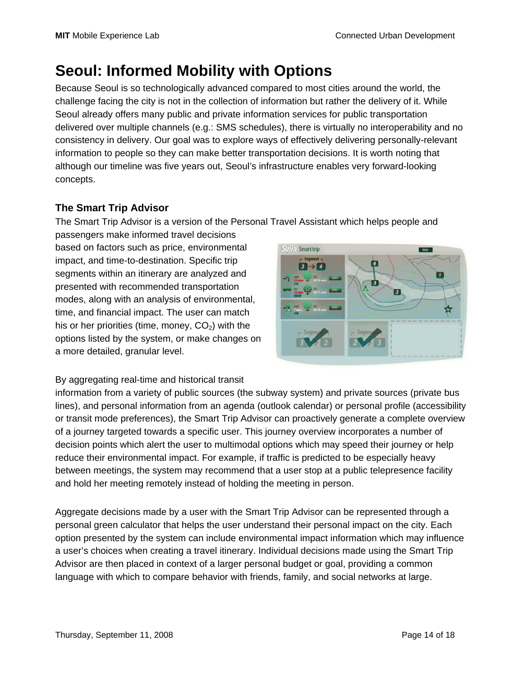# **Seoul: Informed Mobility with Options**

Because Seoul is so technologically advanced compared to most cities around the world, the challenge facing the city is not in the collection of information but rather the delivery of it. While Seoul already offers many public and private information services for public transportation delivered over multiple channels (e.g.: SMS schedules), there is virtually no interoperability and no consistency in delivery. Our goal was to explore ways of effectively delivering personally-relevant information to people so they can make better transportation decisions. It is worth noting that although our timeline was five years out, Seoul's infrastructure enables very forward-looking concepts.

## **The Smart Trip Advisor**

The Smart Trip Advisor is a version of the Personal Travel Assistant which helps people and

passengers make informed travel decisions based on factors such as price, environmental impact, and time-to-destination. Specific trip segments within an itinerary are analyzed and presented with recommended transportation modes, along with an analysis of environmental, time, and financial impact. The user can match his or her priorities (time, money,  $CO<sub>2</sub>$ ) with the options listed by the system, or make changes on a more detailed, granular level.



By aggregating real-time and historical transit

information from a variety of public sources (the subway system) and private sources (private bus lines), and personal information from an agenda (outlook calendar) or personal profile (accessibility or transit mode preferences), the Smart Trip Advisor can proactively generate a complete overview of a journey targeted towards a specific user. This journey overview incorporates a number of decision points which alert the user to multimodal options which may speed their journey or help reduce their environmental impact. For example, if traffic is predicted to be especially heavy between meetings, the system may recommend that a user stop at a public telepresence facility and hold her meeting remotely instead of holding the meeting in person.

Aggregate decisions made by a user with the Smart Trip Advisor can be represented through a personal green calculator that helps the user understand their personal impact on the city. Each option presented by the system can include environmental impact information which may influence a user's choices when creating a travel itinerary. Individual decisions made using the Smart Trip Advisor are then placed in context of a larger personal budget or goal, providing a common language with which to compare behavior with friends, family, and social networks at large.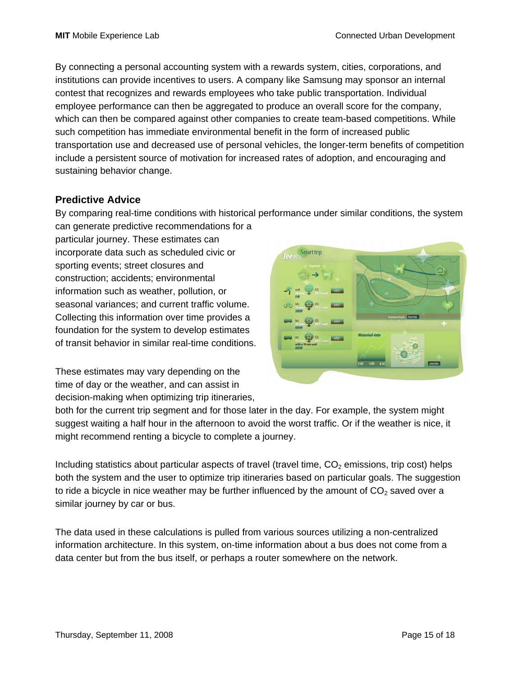By connecting a personal accounting system with a rewards system, cities, corporations, and institutions can provide incentives to users. A company like Samsung may sponsor an internal contest that recognizes and rewards employees who take public transportation. Individual employee performance can then be aggregated to produce an overall score for the company, which can then be compared against other companies to create team-based competitions. While such competition has immediate environmental benefit in the form of increased public transportation use and decreased use of personal vehicles, the longer-term benefits of competition include a persistent source of motivation for increased rates of adoption, and encouraging and sustaining behavior change.

### **Predictive Advice**

By comparing real-time conditions with historical performance under similar conditions, the system can generate predictive recommendations for a

particular journey. These estimates can incorporate data such as scheduled civic or sporting events; street closures and construction; accidents; environmental information such as weather, pollution, or seasonal variances; and current traffic volume. Collecting this information over time provides a foundation for the system to develop estimates of transit behavior in similar real-time conditions.



These estimates may vary depending on the time of day or the weather, and can assist in decision-making when optimizing trip itineraries,

both for the current trip segment and for those later in the day. For example, the system might suggest waiting a half hour in the afternoon to avoid the worst traffic. Or if the weather is nice, it might recommend renting a bicycle to complete a journey.

Including statistics about particular aspects of travel (travel time,  $CO<sub>2</sub>$  emissions, trip cost) helps both the system and the user to optimize trip itineraries based on particular goals. The suggestion to ride a bicycle in nice weather may be further influenced by the amount of  $CO<sub>2</sub>$  saved over a similar journey by car or bus.

The data used in these calculations is pulled from various sources utilizing a non-centralized information architecture. In this system, on-time information about a bus does not come from a data center but from the bus itself, or perhaps a router somewhere on the network.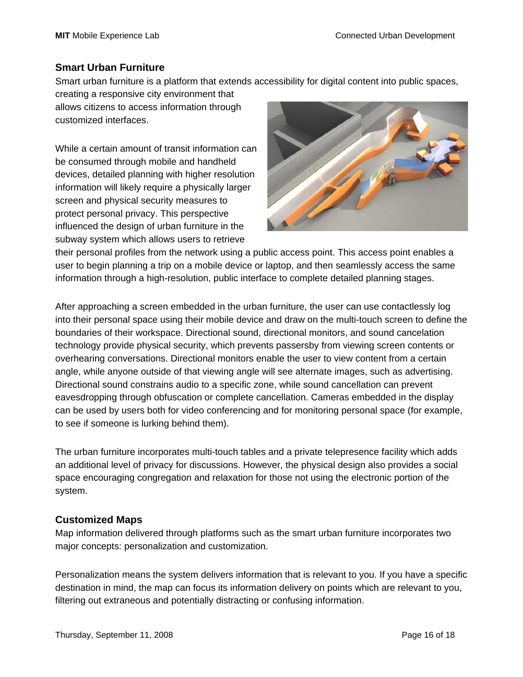#### **Smart Urban Furniture**

Smart urban furniture is a platform that extends accessibility for digital content into public spaces,

creating a responsive city environment that allows citizens to access information through customized interfaces.

While a certain amount of transit information can be consumed through mobile and handheld devices, detailed planning with higher resolution information will likely require a physically larger screen and physical security measures to protect personal privacy. This perspective influenced the design of urban furniture in the subway system which allows users to retrieve



their personal profiles from the network using a public access point. This access point enables a user to begin planning a trip on a mobile device or laptop, and then seamlessly access the same information through a high-resolution, public interface to complete detailed planning stages.

After approaching a screen embedded in the urban furniture, the user can use contactlessly log into their personal space using their mobile device and draw on the multi-touch screen to define the boundaries of their workspace. Directional sound, directional monitors, and sound cancelation technology provide physical security, which prevents passersby from viewing screen contents or overhearing conversations. Directional monitors enable the user to view content from a certain angle, while anyone outside of that viewing angle will see alternate images, such as advertising. Directional sound constrains audio to a specific zone, while sound cancellation can prevent eavesdropping through obfuscation or complete cancellation. Cameras embedded in the display can be used by users both for video conferencing and for monitoring personal space (for example, to see if someone is lurking behind them).

The urban furniture incorporates multi-touch tables and a private telepresence facility which adds an additional level of privacy for discussions. However, the physical design also provides a social space encouraging congregation and relaxation for those not using the electronic portion of the system.

### **Customized Maps**

Map information delivered through platforms such as the smart urban furniture incorporates two major concepts: personalization and customization.

Personalization means the system delivers information that is relevant to you. If you have a specific destination in mind, the map can focus its information delivery on points which are relevant to you, filtering out extraneous and potentially distracting or confusing information.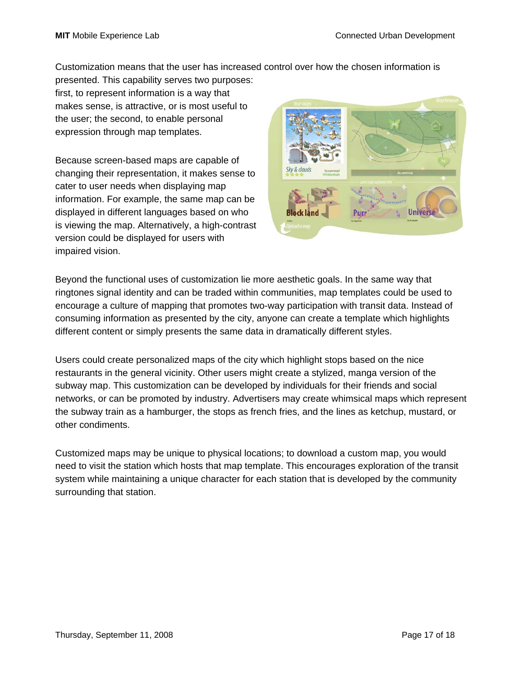Customization means that the user has increased control over how the chosen information is

presented. This capability serves two purposes: first, to represent information is a way that makes sense, is attractive, or is most useful to the user; the second, to enable personal expression through map templates.

Because screen-based maps are capable of changing their representation, it makes sense to cater to user needs when displaying map information. For example, the same map can be displayed in different languages based on who is viewing the map. Alternatively, a high-contrast version could be displayed for users with impaired vision.



Beyond the functional uses of customization lie more aesthetic goals. In the same way that ringtones signal identity and can be traded within communities, map templates could be used to encourage a culture of mapping that promotes two-way participation with transit data. Instead of consuming information as presented by the city, anyone can create a template which highlights different content or simply presents the same data in dramatically different styles.

Users could create personalized maps of the city which highlight stops based on the nice restaurants in the general vicinity. Other users might create a stylized, manga version of the subway map. This customization can be developed by individuals for their friends and social networks, or can be promoted by industry. Advertisers may create whimsical maps which represent the subway train as a hamburger, the stops as french fries, and the lines as ketchup, mustard, or other condiments.

Customized maps may be unique to physical locations; to download a custom map, you would need to visit the station which hosts that map template. This encourages exploration of the transit system while maintaining a unique character for each station that is developed by the community surrounding that station.